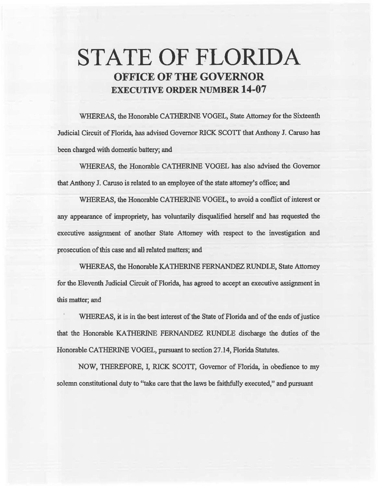# STATE OF FLORIDA OFFICE OF THE GOVERNOR EXECUTIVE ORDER NUMBER 14-07

WHEREAS, the Honorable CATHERINE VOGEL, State Attorney for the Sixteeath Judicial Circuit of Florida, has advised Governor RICK SCOTT that Anthony J. Caruso has been charged with domestic battery; and

WHEREAS, the Honorable CATHERINE VOGEL has also advised the Governor that Anthony J. Caruso is related to an employee of the state attorney's office; and

WHEREAS, the Honorable CATHERINE VOGEL, to avoid a conflict of interest or any appearance of impropriety, has voluntarily disqualified herself and has requested the executive assignment of another State Attorney with respect to the investigation and prosecution of this case and all related matters; and

WHEREAS, the Honorable KATHERINE FERNANDEZ RUNDI.E, State Attorney for the Eleventh Judicial Circuit of Florida, has agreed to accept an executive assignment in this matter; and

WHEREAS, it is in the best interest of the State of Florida and of the ends of justice that the Honorable KATHERINE FERNANDEZ RUNDLE discharge the duties of the Honorable CATHERINE VOGEL, pursuant to section 27 .14, Florida Statutes.

NOW, THEREFORE, I, RICK SCOTT, Governor of Florida, in obedience to my solemn constitutional duty to ''take care that the laws be faithfully executed," and pursuant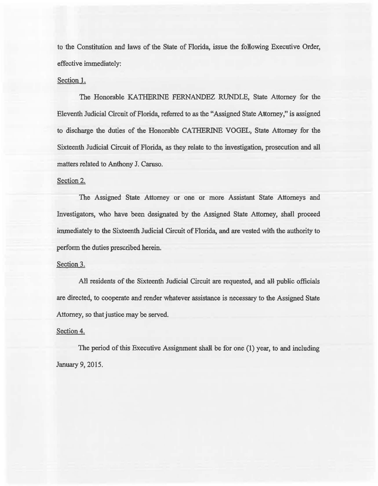to the Constitution and laws of the State of Florida, issue the following Executive Order, effective immediately:

### Section 1.

The Honorable KATHERINE FERNANDEZ RUNDLE, State Attorney for the Eleventh Judicial Circuit of Florida, referred to as the "Assigned State Attorney," is assigned to discharge the duties of the Honorable CATHERINE VOGEL, State Attorney for 1he Sixteenth Judicial Circuit of Florida, as they relate to the investigation, prosecution and all matters related to Anthony J. Camso.

## Section 2.

The Assigned State Attorney or one or more Assistant State Attorneys and Investigators, who have been designated by the Assigned State Attorney, shall proceed immediately to the Sixteenth Judicial Circuit of Florida, and are vested with the authority to perform the duties prescribed herein.

## Section 3.

All residents of the Sixteenth Judicial Circuit are requested, and all public officials are directed, to cooperate and render whatever assistance is necessary to the Assigned State Attorney, so that justice may be served.

### Section 4.

The period of this Executive Assignment shall be for one (1) year, to and including January 9, 2015.